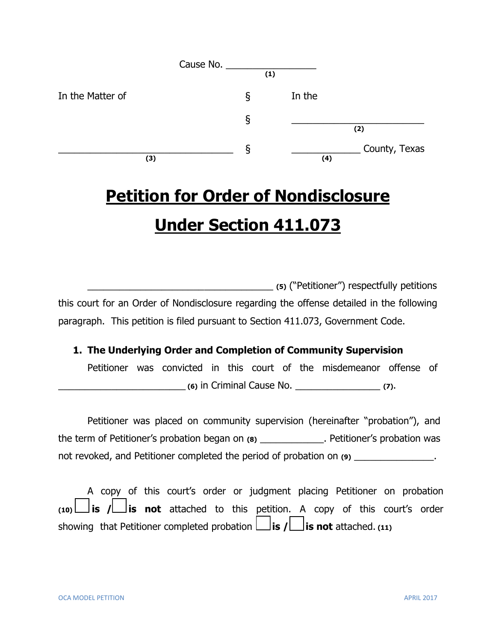|                  | (1) |        |               |
|------------------|-----|--------|---------------|
| In the Matter of | ξ   | In the |               |
|                  | ş   |        | (2)           |
| (3)              | ১   | (4)    | County, Texas |

# **Petition for Order of Nondisclosure Under Section 411.073**

\_\_\_\_\_\_\_\_\_\_\_\_\_\_\_\_\_\_\_\_\_\_\_\_\_\_\_\_\_\_\_\_\_\_\_ **(5)** ("Petitioner") respectfully petitions this court for an Order of Nondisclosure regarding the offense detailed in the following paragraph. This petition is filed pursuant to Section 411.073, Government Code.

#### **1. The Underlying Order and Completion of Community Supervision**

Petitioner was convicted in this court of the misdemeanor offense of \_\_\_\_\_\_\_\_\_\_\_\_\_\_\_\_\_\_\_\_\_\_\_\_ **(6)** in Criminal Cause No. \_\_\_\_\_\_\_\_\_\_\_\_\_\_\_\_ **(7)**.

Petitioner was placed on community supervision (hereinafter "probation"), and the term of Petitioner's probation began on **(8)** \_\_\_\_\_\_\_\_\_\_\_\_. Petitioner's probation was not revoked, and Petitioner completed the period of probation on (9) \_\_\_\_\_\_\_\_\_\_\_\_\_\_.

A copy of this court's order or judgment placing Petitioner on probation **(10) is / is not** attached to this petition. A copy of this court's order showing that Petitioner completed probation  $\Box$  is  $\Lambda \Box$  is not attached. (11)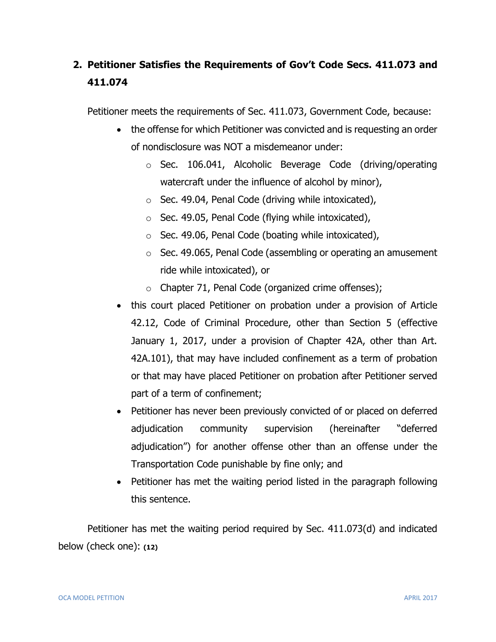## **2. Petitioner Satisfies the Requirements of Gov't Code Secs. 411.073 and 411.074**

Petitioner meets the requirements of Sec. 411.073, Government Code, because:

- the offense for which Petitioner was convicted and is requesting an order of nondisclosure was NOT a misdemeanor under:
	- o Sec. 106.041, Alcoholic Beverage Code (driving/operating watercraft under the influence of alcohol by minor),
	- o Sec. 49.04, Penal Code (driving while intoxicated),
	- o Sec. 49.05, Penal Code (flying while intoxicated),
	- o Sec. 49.06, Penal Code (boating while intoxicated),
	- o Sec. 49.065, Penal Code (assembling or operating an amusement ride while intoxicated), or
	- o Chapter 71, Penal Code (organized crime offenses);
- this court placed Petitioner on probation under a provision of Article 42.12, Code of Criminal Procedure, other than Section 5 (effective January 1, 2017, under a provision of Chapter 42A, other than Art. 42A.101), that may have included confinement as a term of probation or that may have placed Petitioner on probation after Petitioner served part of a term of confinement;
- Petitioner has never been previously convicted of or placed on deferred adjudication community supervision (hereinafter "deferred adjudication") for another offense other than an offense under the Transportation Code punishable by fine only; and
- Petitioner has met the waiting period listed in the paragraph following this sentence.

Petitioner has met the waiting period required by Sec. 411.073(d) and indicated below (check one): **(12)**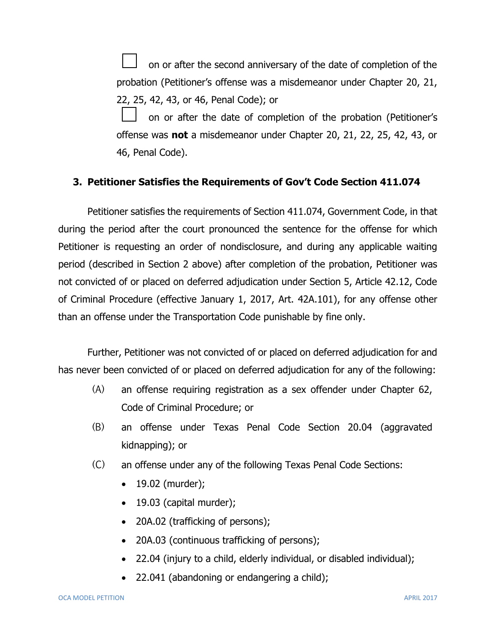on or after the second anniversary of the date of completion of the probation (Petitioner's offense was a misdemeanor under Chapter 20, 21, 22, 25, 42, 43, or 46, Penal Code); or

on or after the date of completion of the probation (Petitioner's offense was **not** a misdemeanor under Chapter 20, 21, 22, 25, 42, 43, or 46, Penal Code).

#### **3. Petitioner Satisfies the Requirements of Gov't Code Section 411.074**

Petitioner satisfies the requirements of Section 411.074, Government Code, in that during the period after the court pronounced the sentence for the offense for which Petitioner is requesting an order of nondisclosure, and during any applicable waiting period (described in Section 2 above) after completion of the probation, Petitioner was not convicted of or placed on deferred adjudication under Section 5, Article 42.12, Code of Criminal Procedure (effective January 1, 2017, Art. 42A.101), for any offense other than an offense under the Transportation Code punishable by fine only.

Further, Petitioner was not convicted of or placed on deferred adjudication for and has never been convicted of or placed on deferred adjudication for any of the following:

- (A) an offense requiring registration as a sex offender under Chapter 62, Code of Criminal Procedure; or
- (B) an offense under Texas Penal Code Section 20.04 (aggravated kidnapping); or
- (C) an offense under any of the following Texas Penal Code Sections:
	- $\bullet$  19.02 (murder);
	- $\bullet$  19.03 (capital murder);
	- 20A.02 (trafficking of persons);
	- 20A.03 (continuous trafficking of persons);
	- 22.04 (injury to a child, elderly individual, or disabled individual);
	- 22.041 (abandoning or endangering a child);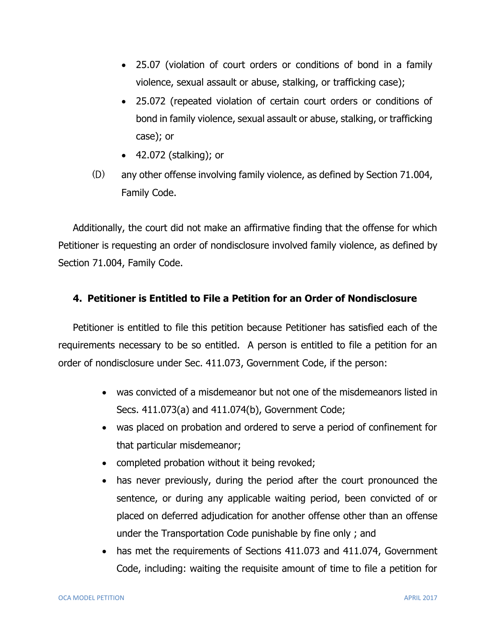- 25.07 (violation of court orders or conditions of bond in a family violence, sexual assault or abuse, stalking, or trafficking case);
- 25.072 (repeated violation of certain court orders or conditions of bond in family violence, sexual assault or abuse, stalking, or trafficking case); or
- 42.072 (stalking); or
- (D) any other offense involving family violence, as defined by Section 71.004, Family Code.

Additionally, the court did not make an affirmative finding that the offense for which Petitioner is requesting an order of nondisclosure involved family violence, as defined by Section 71.004, Family Code.

#### **4. Petitioner is Entitled to File a Petition for an Order of Nondisclosure**

Petitioner is entitled to file this petition because Petitioner has satisfied each of the requirements necessary to be so entitled. A person is entitled to file a petition for an order of nondisclosure under Sec. 411.073, Government Code, if the person:

- was convicted of a misdemeanor but not one of the misdemeanors listed in Secs. 411.073(a) and 411.074(b), Government Code;
- was placed on probation and ordered to serve a period of confinement for that particular misdemeanor;
- completed probation without it being revoked;
- has never previously, during the period after the court pronounced the sentence, or during any applicable waiting period, been convicted of or placed on deferred adjudication for another offense other than an offense under the Transportation Code punishable by fine only ; and
- has met the requirements of Sections 411.073 and 411.074, Government Code, including: waiting the requisite amount of time to file a petition for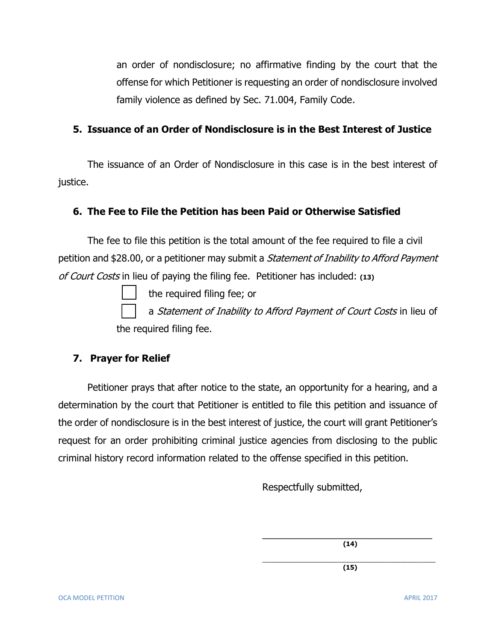an order of nondisclosure; no affirmative finding by the court that the offense for which Petitioner is requesting an order of nondisclosure involved family violence as defined by Sec. 71.004, Family Code.

#### **5. Issuance of an Order of Nondisclosure is in the Best Interest of Justice**

The issuance of an Order of Nondisclosure in this case is in the best interest of justice.

#### **6. The Fee to File the Petition has been Paid or Otherwise Satisfied**

The fee to file this petition is the total amount of the fee required to file a civil petition and \$28.00, or a petitioner may submit a *Statement of Inability to Afford Payment* of Court Costs in lieu of paying the filing fee. Petitioner has included: **(13)**

the required filing fee; or

a Statement of Inability to Afford Payment of Court Costs in lieu of the required filing fee.

### **7. Prayer for Relief**

Petitioner prays that after notice to the state, an opportunity for a hearing, and a determination by the court that Petitioner is entitled to file this petition and issuance of the order of nondisclosure is in the best interest of justice, the court will grant Petitioner's request for an order prohibiting criminal justice agencies from disclosing to the public criminal history record information related to the offense specified in this petition.

Respectfully submitted,

\_\_\_\_\_\_\_\_\_\_\_\_\_\_\_\_\_\_\_\_\_\_\_\_\_\_\_\_\_\_\_\_ **(14)**

\_\_\_\_\_\_\_\_\_\_\_\_\_\_\_\_\_\_\_\_\_\_\_\_\_\_\_\_\_\_\_\_\_\_\_\_\_\_\_\_\_\_\_\_\_\_\_\_\_ **(15)**